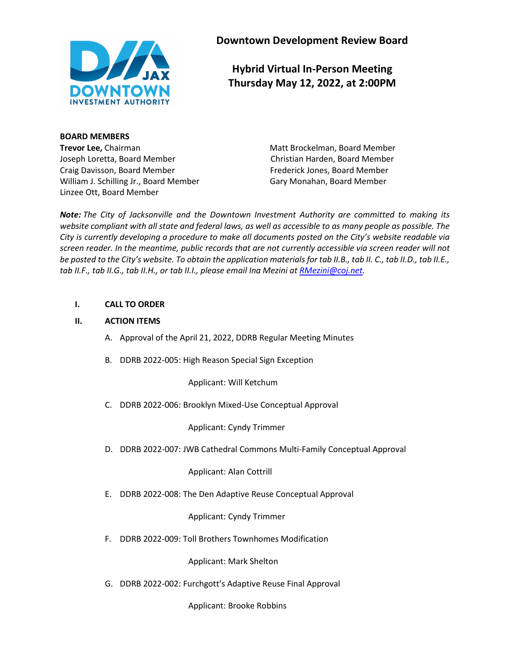

**Downtown Development Review Board**

**Hybrid Virtual In-Person Meeting Thursday May 12, 2022, at 2:00PM**

**BOARD MEMBERS Trevor Lee,** Chairman Matt Brockelman, Board Member Joseph Loretta, Board Member Christian Harden, Board Member Craig Davisson, Board Member Frederick Jones, Board Member William J. Schilling Jr., Board Member Gary Monahan, Board Member Linzee Ott, Board Member

*Note: The City of Jacksonville and the Downtown Investment Authority are committed to making its website compliant with all state and federal laws, as well as accessible to as many people as possible. The City is currently developing a procedure to make all documents posted on the City's website readable via screen reader. In the meantime, public records that are not currently accessible via screen reader will not be posted to the City's website. To obtain the application materials for tab II.B., tab II. C., tab II.D., tab II.E., tab II.F., tab II.G., tab II.H., or tab II.I., please email Ina Mezini a[t RMezini@coj.net.](mailto:RMezini@coj.net)*

## **I. CALL TO ORDER**

# **II. ACTION ITEMS**

- A. Approval of the April 21, 2022, DDRB Regular Meeting Minutes
- B. DDRB 2022-005: High Reason Special Sign Exception

Applicant: Will Ketchum

C. DDRB 2022-006: Brooklyn Mixed-Use Conceptual Approval

Applicant: Cyndy Trimmer

D. DDRB 2022-007: JWB Cathedral Commons Multi-Family Conceptual Approval

Applicant: Alan Cottrill

E. DDRB 2022-008: The Den Adaptive Reuse Conceptual Approval

Applicant: Cyndy Trimmer

F. DDRB 2022-009: Toll Brothers Townhomes Modification

Applicant: Mark Shelton

G. DDRB 2022-002: Furchgott's Adaptive Reuse Final Approval

Applicant: Brooke Robbins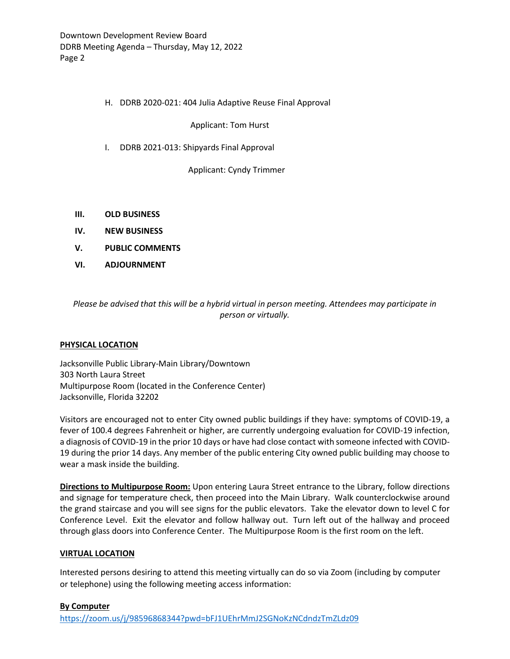## H. DDRB 2020-021: 404 Julia Adaptive Reuse Final Approval

Applicant: Tom Hurst

I. DDRB 2021-013: Shipyards Final Approval

Applicant: Cyndy Trimmer

- **III. OLD BUSINESS**
- **IV. NEW BUSINESS**
- **V. PUBLIC COMMENTS**
- **VI. ADJOURNMENT**

*Please be advised that this will be a hybrid virtual in person meeting. Attendees may participate in person or virtually.*

## **PHYSICAL LOCATION**

Jacksonville Public Library-Main Library/Downtown 303 North Laura Street Multipurpose Room (located in the Conference Center) Jacksonville, Florida 32202

Visitors are encouraged not to enter City owned public buildings if they have: symptoms of COVID-19, a fever of 100.4 degrees Fahrenheit or higher, are currently undergoing evaluation for COVID-19 infection, a diagnosis of COVID-19 in the prior 10 days or have had close contact with someone infected with COVID-19 during the prior 14 days. Any member of the public entering City owned public building may choose to wear a mask inside the building.

**Directions to Multipurpose Room:** Upon entering Laura Street entrance to the Library, follow directions and signage for temperature check, then proceed into the Main Library. Walk counterclockwise around the grand staircase and you will see signs for the public elevators. Take the elevator down to level C for Conference Level. Exit the elevator and follow hallway out. Turn left out of the hallway and proceed through glass doors into Conference Center. The Multipurpose Room is the first room on the left.

## **VIRTUAL LOCATION**

Interested persons desiring to attend this meeting virtually can do so via Zoom (including by computer or telephone) using the following meeting access information:

## **By Computer**